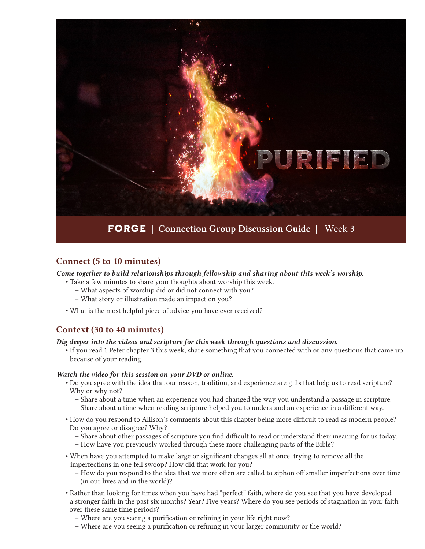

## Connect (5 to 10 minutes)

*Come together to build relationships through fellowship and sharing about this week's worship.*

- Take a few minutes to share your thoughts about worship this week.
	- What aspects of worship did or did not connect with you?
	- What story or illustration made an impact on you?
- What is the most helpful piece of advice you have ever received?

### Context (30 to 40 minutes)

*Dig deeper into the videos and scripture for this week through questions and discussion.*

• If you read 1 Peter chapter 3 this week, share something that you connected with or any questions that came up because of your reading.

#### *Watch the video for this session on your DVD or online.*

- Do you agree with the idea that our reason, tradition, and experience are gifts that help us to read scripture? Why or why not?
	- Share about a time when an experience you had changed the way you understand a passage in scripture.
	- Share about a time when reading scripture helped you to understand an experience in a different way.
- How do you respond to Allison's comments about this chapter being more difficult to read as modern people? Do you agree or disagree? Why?
	- Share about other passages of scripture you find difficult to read or understand their meaning for us today.
	- How have you previously worked through these more challenging parts of the Bible?
- When have you attempted to make large or significant changes all at once, trying to remove all the imperfections in one fell swoop? How did that work for you?
	- How do you respond to the idea that we more often are called to siphon off smaller imperfections over time (in our lives and in the world)?
- Rather than looking for times when you have had "perfect" faith, where do you see that you have developed a stronger faith in the past six months? Year? Five years? Where do you see periods of stagnation in your faith over these same time periods?
	- Where are you seeing a purification or refining in your life right now?
	- Where are you seeing a purification or refining in your larger community or the world?